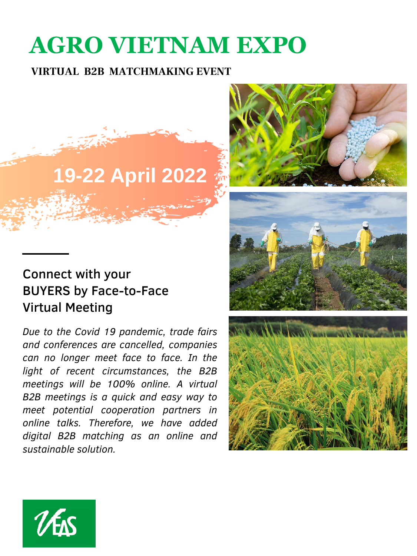## **AGRO VIETNAM EXPO**

#### VIRTUAL B2B MATCHMAKING EVENT





*Due to the Covid 19 pandemic, trade fairs and conferences are cancelled, companies can no longer meet face to face. In the light of recent circumstances, the B2B meetings will be 100% online. A virtual B2B meetings is a quick and easy way to meet potential cooperation partners in online talks. Therefore, we have added digital B2B matching as an online and sustainable solution.*







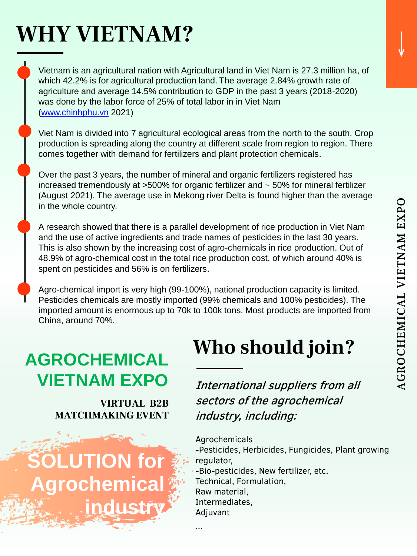## WHY VIETNAM?

Vietnam is an agricultural nation with Agricultural land in Viet Nam is 27.3 million ha, of which 42.2% is for agricultural production land. The average 2.84% growth rate of agriculture and average 14.5% contribution to GDP in the past 3 years (2018-2020) was done by the labor force of 25% of total labor in in Viet Nam [\(www.chinhphu.vn](http://www.chinhphu.vn/) 2021)

Viet Nam is divided into 7 agricultural ecological areas from the north to the south. Crop production is spreading along the country at different scale from region to region. There comes together with demand for fertilizers and plant protection chemicals.

Over the past 3 years, the number of mineral and organic fertilizers registered has increased tremendously at  $>500\%$  for organic fertilizer and  $\sim$  50% for mineral fertilizer (August 2021). The average use in Mekong river Delta is found higher than the average in the whole country.

A research showed that there is a parallel development of rice production in Viet Nam and the use of active ingredients and trade names of pesticides in the last 30 years. This is also shown by the increasing cost of agro-chemicals in rice production. Out of 48.9% of agro-chemical cost in the total rice production cost, of which around 40% is spent on pesticides and 56% is on fertilizers.

Agro-chemical import is very high (99-100%), national production capacity is limited. Pesticides chemicals are mostly imported (99% chemicals and 100% pesticides). The imported amount is enormous up to 70k to 100k tons. Most products are imported from China, around 70%.

...

### **AGROCHEMICAL VIETNAM EXPO**

VIRTUAL B2B MATCHMAKING EVENT

**LUTION for** 

**industry**

**Agrochemical**

### Who should join?

International suppliers from all sectors of the agrochemical industry, including:

Agrochemicals -Pesticides, Herbicides, Fungicides, Plant growing regulator, -Bio-pesticides, New fertilizer, etc. Technical, Formulation, Raw material, Intermediates, Adjuvant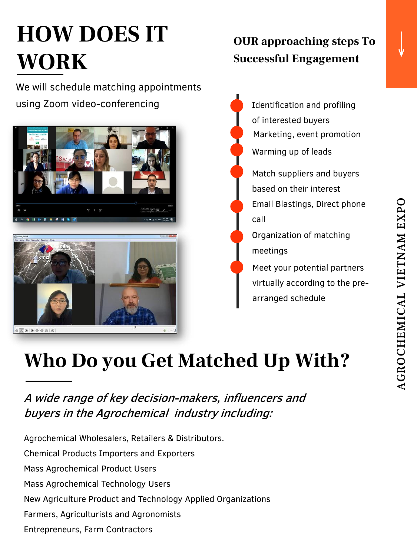## HOW DOES IT WORK

We will schedule matching appointments using Zoom video-conferencing



#### OUR approaching steps To Successful Engagement

Identification and profiling of interested buyers Warming up of leads Match suppliers and buyers based on their interest Email Blastings, Direct phone call Meet your potential partners virtually according to the prearranged schedule Organization of matching meetings Marketing, event promotion

### Who Do you Get Matched Up With?

A wide range of key decision-makers, influencers and buyers in the Agrochemical industry including:

Agrochemical Wholesalers, Retailers & Distributors. Chemical Products Importers and Exporters Mass Agrochemical Product Users Mass Agrochemical Technology Users New Agriculture Product and Technology Applied Organizations Farmers, Agriculturists and Agronomists Entrepreneurs, Farm Contractors